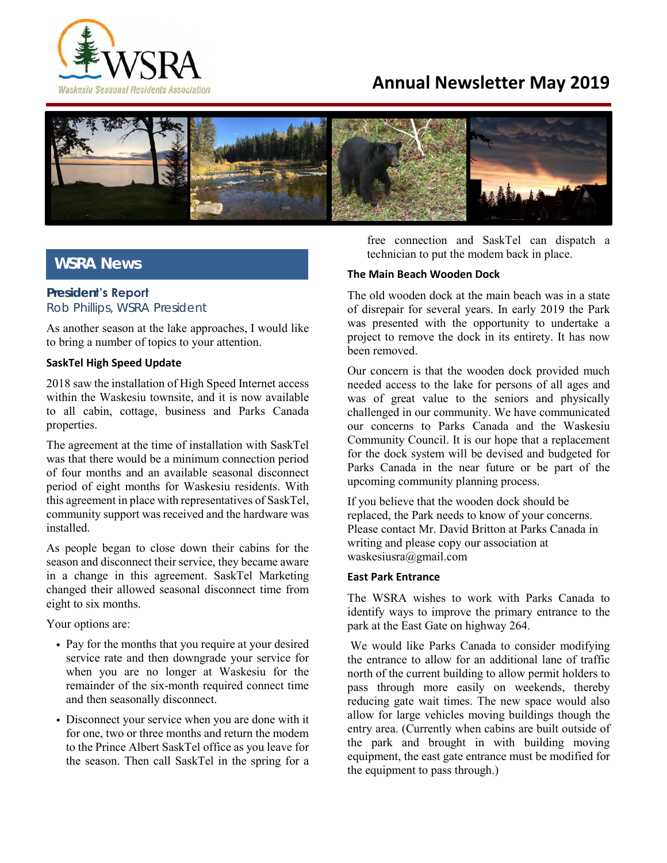

# **Annual Newsletter May 2019**



## **WSRA News**

## **President's Report** *Rob Phillips, WSRA President*

As another season at the lake approaches, I would like to bring a number of topics to your attention.

#### **SaskTel High Speed Update**

2018 saw the installation of High Speed Internet access within the Waskesiu townsite, and it is now available to all cabin, cottage, business and Parks Canada properties.

The agreement at the time of installation with SaskTel was that there would be a minimum connection period of four months and an available seasonal disconnect period of eight months for Waskesiu residents. With this agreement in place with representatives of SaskTel, community support was received and the hardware was installed.

As people began to close down their cabins for the season and disconnect their service, they became aware in a change in this agreement. SaskTel Marketing changed their allowed seasonal disconnect time from eight to six months.

Your options are:

- Pay for the months that you require at your desired service rate and then downgrade your service for when you are no longer at Waskesiu for the remainder of the six-month required connect time and then seasonally disconnect.
- Disconnect your service when you are done with it for one, two or three months and return the modem to the Prince Albert SaskTel office as you leave for the season. Then call SaskTel in the spring for a

free connection and SaskTel can dispatch a technician to put the modem back in place.

#### **The Main Beach Wooden Dock**

The old wooden dock at the main beach was in a state of disrepair for several years. In early 2019 the Park was presented with the opportunity to undertake a project to remove the dock in its entirety. It has now been removed.

Our concern is that the wooden dock provided much needed access to the lake for persons of all ages and was of great value to the seniors and physically challenged in our community. We have communicated our concerns to Parks Canada and the Waskesiu Community Council. It is our hope that a replacement for the dock system will be devised and budgeted for Parks Canada in the near future or be part of the upcoming community planning process.

If you believe that the wooden dock should be replaced, the Park needs to know of your concerns. Please contact Mr. David Britton at Parks Canada in writing and please copy our association at waskesiusra@gmail.com

#### **East Park Entrance**

The WSRA wishes to work with Parks Canada to identify ways to improve the primary entrance to the park at the East Gate on highway 264.

We would like Parks Canada to consider modifying the entrance to allow for an additional lane of traffic north of the current building to allow permit holders to pass through more easily on weekends, thereby reducing gate wait times. The new space would also allow for large vehicles moving buildings though the entry area. (Currently when cabins are built outside of the park and brought in with building moving equipment, the east gate entrance must be modified for the equipment to pass through.)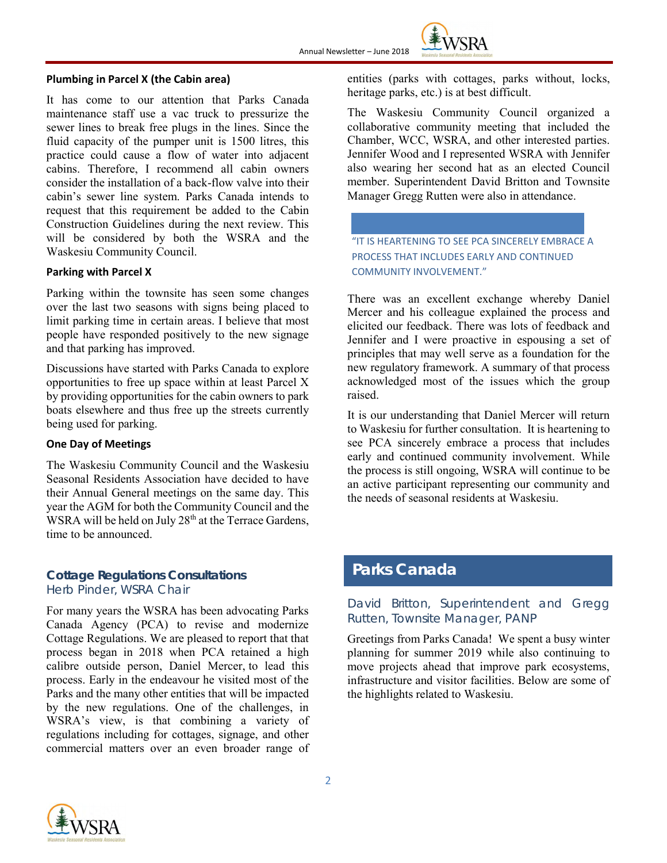

#### **Plumbing in Parcel X (the Cabin area)**

It has come to our attention that Parks Canada maintenance staff use a vac truck to pressurize the sewer lines to break free plugs in the lines. Since the fluid capacity of the pumper unit is 1500 litres, this practice could cause a flow of water into adjacent cabins. Therefore, I recommend all cabin owners consider the installation of a back-flow valve into their cabin's sewer line system. Parks Canada intends to request that this requirement be added to the Cabin Construction Guidelines during the next review. This will be considered by both the WSRA and the Waskesiu Community Council.

#### **Parking with Parcel X**

Parking within the townsite has seen some changes over the last two seasons with signs being placed to limit parking time in certain areas. I believe that most people have responded positively to the new signage and that parking has improved.

Discussions have started with Parks Canada to explore opportunities to free up space within at least Parcel X by providing opportunities for the cabin owners to park boats elsewhere and thus free up the streets currently being used for parking.

#### **One Day of Meetings**

The Waskesiu Community Council and the Waskesiu Seasonal Residents Association have decided to have their Annual General meetings on the same day. This year the AGM for both the Community Council and the WSRA will be held on July  $28<sup>th</sup>$  at the Terrace Gardens, time to be announced.

### **Cottage Regulations Consultations** *Herb Pinder, WSRA Chair*

For many years the WSRA has been advocating Parks Canada Agency (PCA) to revise and modernize Cottage Regulations. We are pleased to report that that process began in 2018 when PCA retained a high calibre outside person, Daniel Mercer, to lead this process. Early in the endeavour he visited most of the Parks and the many other entities that will be impacted by the new regulations. One of the challenges, in WSRA's view, is that combining a variety of regulations including for cottages, signage, and other commercial matters over an even broader range of entities (parks with cottages, parks without, locks, heritage parks, etc.) is at best difficult.

The Waskesiu Community Council organized a collaborative community meeting that included the Chamber, WCC, WSRA, and other interested parties. Jennifer Wood and I represented WSRA with Jennifer also wearing her second hat as an elected Council member. Superintendent David Britton and Townsite Manager Gregg Rutten were also in attendance.

"IT IS HEARTENING TO SEE PCA SINCERELY EMBRACE A PROCESS THAT INCLUDES EARLY AND CONTINUED COMMUNITY INVOLVEMENT."

There was an excellent exchange whereby Daniel Mercer and his colleague explained the process and elicited our feedback. There was lots of feedback and Jennifer and I were proactive in espousing a set of principles that may well serve as a foundation for the new regulatory framework. A summary of that process acknowledged most of the issues which the group raised.

It is our understanding that Daniel Mercer will return to Waskesiu for further consultation. It is heartening to see PCA sincerely embrace a process that includes early and continued community involvement. While the process is still ongoing, WSRA will continue to be an active participant representing our community and the needs of seasonal residents at Waskesiu.

## **Parks Canada**

### *David Britton, Superintendent and Gregg Rutten, Townsite Manager, PANP*

Greetings from Parks Canada! We spent a busy winter planning for summer 2019 while also continuing to move projects ahead that improve park ecosystems, infrastructure and visitor facilities. Below are some of the highlights related to Waskesiu.

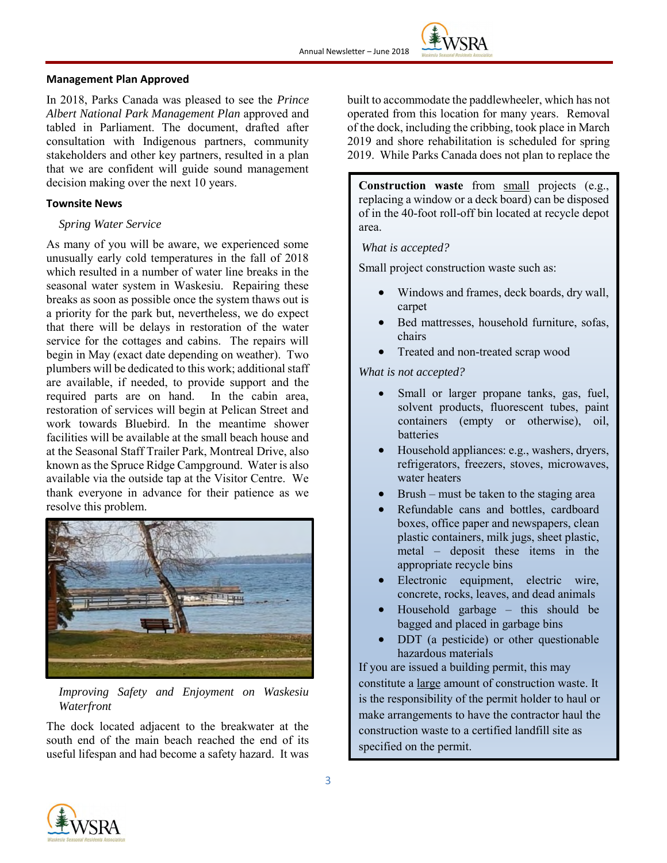#### **Management Plan Approved**

In 2018, Parks Canada was pleased to see the *Prince Albert National Park Management Plan* approved and tabled in Parliament. The document, drafted after consultation with Indigenous partners, community stakeholders and other key partners, resulted in a plan that we are confident will guide sound management decision making over the next 10 years.

#### **Townsite News**

#### *Spring Water Service*

As many of you will be aware, we experienced some unusually early cold temperatures in the fall of 2018 which resulted in a number of water line breaks in the seasonal water system in Waskesiu. Repairing these breaks as soon as possible once the system thaws out is a priority for the park but, nevertheless, we do expect that there will be delays in restoration of the water service for the cottages and cabins. The repairs will begin in May (exact date depending on weather). Two plumbers will be dedicated to this work; additional staff are available, if needed, to provide support and the required parts are on hand. In the cabin area, restoration of services will begin at Pelican Street and work towards Bluebird. In the meantime shower facilities will be available at the small beach house and at the Seasonal Staff Trailer Park, Montreal Drive, also known as the Spruce Ridge Campground. Water is also available via the outside tap at the Visitor Centre. We thank everyone in advance for their patience as we resolve this problem.



*Improving Safety and Enjoyment on Waskesiu Waterfront*

The dock located adjacent to the breakwater at the south end of the main beach reached the end of its useful lifespan and had become a safety hazard. It was built to accommodate the paddlewheeler, which has not operated from this location for many years. Removal of the dock, including the cribbing, took place in March 2019 and shore rehabilitation is scheduled for spring 2019. While Parks Canada does not plan to replace the

**Construction waste** from small projects (e.g., replacing a window or a deck board) can be disposed of in the 40-foot roll-off bin located at recycle depot area.

*What is accepted?* 

Small project construction waste such as:

- Windows and frames, deck boards, dry wall, carpet
- Bed mattresses, household furniture, sofas, chairs
- Treated and non-treated scrap wood

*What is not accepted?*

- Small or larger propane tanks, gas, fuel, solvent products, fluorescent tubes, paint containers (empty or otherwise), oil, batteries
- Household appliances: e.g., washers, dryers, refrigerators, freezers, stoves, microwaves, water heaters
- $Brush$  must be taken to the staging area
- Refundable cans and bottles, cardboard boxes, office paper and newspapers, clean plastic containers, milk jugs, sheet plastic, metal – deposit these items in the appropriate recycle bins
- Electronic equipment, electric wire, concrete, rocks, leaves, and dead animals
- Household garbage this should be bagged and placed in garbage bins
- DDT (a pesticide) or other questionable hazardous materials

If you are issued a building permit, this may constitute a large amount of construction waste. It is the responsibility of the permit holder to haul or make arrangements to have the contractor haul the construction waste to a certified landfill site as specified on the permit.

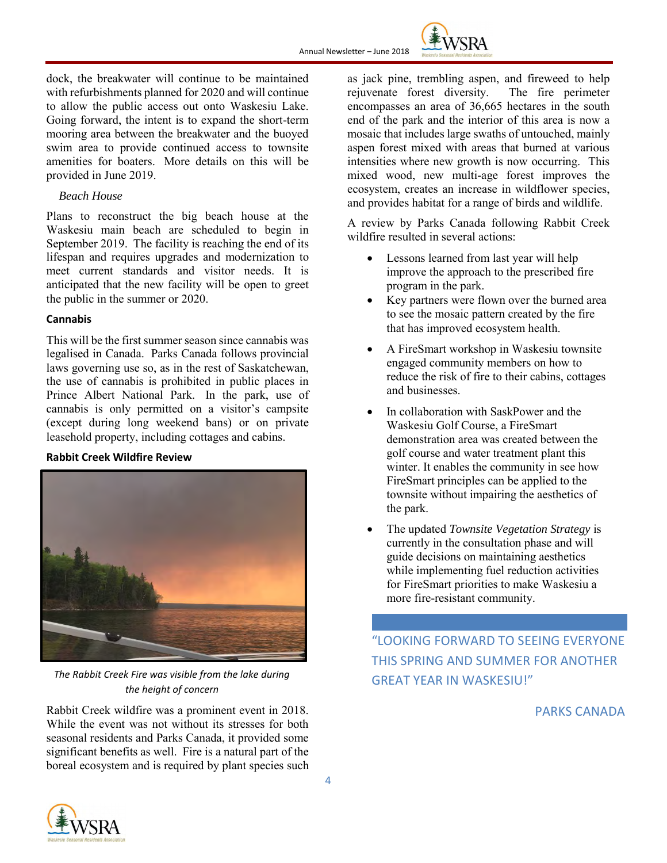

dock, the breakwater will continue to be maintained with refurbishments planned for 2020 and will continue to allow the public access out onto Waskesiu Lake. Going forward, the intent is to expand the short-term mooring area between the breakwater and the buoyed swim area to provide continued access to townsite amenities for boaters. More details on this will be provided in June 2019.

### *Beach House*

Plans to reconstruct the big beach house at the Waskesiu main beach are scheduled to begin in September 2019. The facility is reaching the end of its lifespan and requires upgrades and modernization to meet current standards and visitor needs. It is anticipated that the new facility will be open to greet the public in the summer or 2020.

#### **Cannabis**

This will be the first summer season since cannabis was legalised in Canada. Parks Canada follows provincial laws governing use so, as in the rest of Saskatchewan, the use of cannabis is prohibited in public places in Prince Albert National Park. In the park, use of cannabis is only permitted on a visitor's campsite (except during long weekend bans) or on private leasehold property, including cottages and cabins.

#### **Rabbit Creek Wildfire Review**



*The Rabbit Creek Fire was visible from the lake during the height of concern*

Rabbit Creek wildfire was a prominent event in 2018. While the event was not without its stresses for both seasonal residents and Parks Canada, it provided some significant benefits as well. Fire is a natural part of the boreal ecosystem and is required by plant species such as jack pine, trembling aspen, and fireweed to help rejuvenate forest diversity. The fire perimeter encompasses an area of 36,665 hectares in the south end of the park and the interior of this area is now a mosaic that includes large swaths of untouched, mainly aspen forest mixed with areas that burned at various intensities where new growth is now occurring. This mixed wood, new multi-age forest improves the ecosystem, creates an increase in wildflower species, and provides habitat for a range of birds and wildlife.

A review by Parks Canada following Rabbit Creek wildfire resulted in several actions:

- Lessons learned from last year will help improve the approach to the prescribed fire program in the park.
- Key partners were flown over the burned area to see the mosaic pattern created by the fire that has improved ecosystem health.
- A FireSmart workshop in Waskesiu townsite engaged community members on how to reduce the risk of fire to their cabins, cottages and businesses.
- In collaboration with SaskPower and the Waskesiu Golf Course, a FireSmart demonstration area was created between the golf course and water treatment plant this winter. It enables the community in see how FireSmart principles can be applied to the townsite without impairing the aesthetics of the park.
- The updated *Townsite Vegetation Strategy* is currently in the consultation phase and will guide decisions on maintaining aesthetics while implementing fuel reduction activities for FireSmart priorities to make Waskesiu a more fire-resistant community.

"LOOKING FORWARD TO SEEING EVERYONE THIS SPRING AND SUMMER FOR ANOTHER GREAT YEAR IN WASKESIU!"

## PARKS CANADA

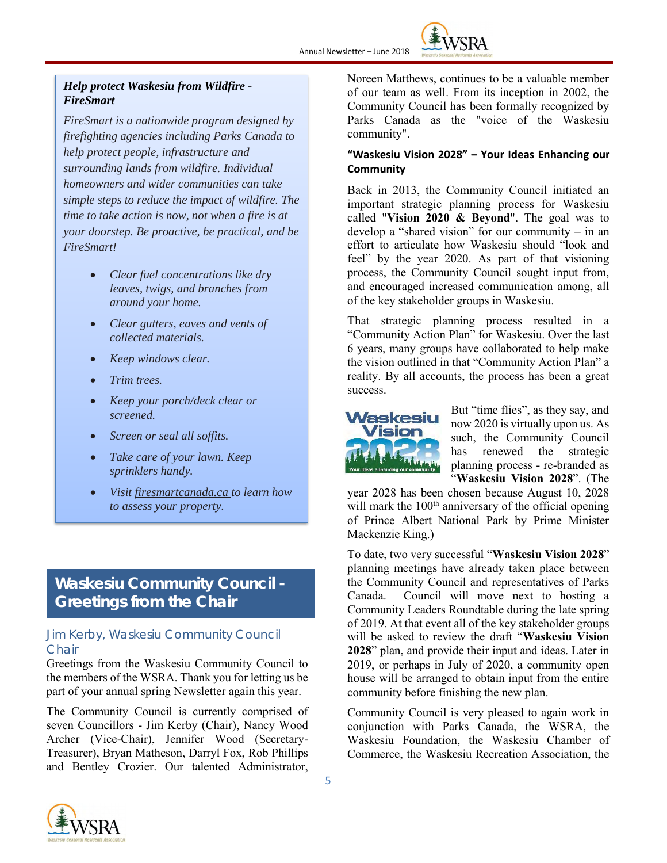

## *Help protect Waskesiu from Wildfire - FireSmart*

*FireSmart is a nationwide program designed by firefighting agencies including Parks Canada to help protect people, infrastructure and surrounding lands from wildfire. Individual homeowners and wider communities can take simple steps to reduce the impact of wildfire. The time to take action is now, not when a fire is at your doorstep. Be proactive, be practical, and be FireSmart!*

- *Clear fuel concentrations like dry leaves, twigs, and branches from around your home.*
- *Clear gutters, eaves and vents of collected materials.*
- *Keep windows clear.*
- *Trim trees.*
- *Keep your porch/deck clear or screened.*
- *Screen or seal all soffits.*
- *Take care of your lawn. Keep sprinklers handy.*
- *Visit firesmartcanada.ca to learn how to assess your property.*

## **Waskesiu Community Council - Greetings from the Chair**

## *Jim Kerby, Waskesiu Community Council Chair*

Greetings from the Waskesiu Community Council to the members of the WSRA. Thank you for letting us be part of your annual spring Newsletter again this year.

The Community Council is currently comprised of seven Councillors - Jim Kerby (Chair), Nancy Wood Archer (Vice-Chair), Jennifer Wood (Secretary-Treasurer), Bryan Matheson, Darryl Fox, Rob Phillips and Bentley Crozier. Our talented Administrator, Noreen Matthews, continues to be a valuable member of our team as well. From its inception in 2002, the Community Council has been formally recognized by Parks Canada as the "voice of the Waskesiu community".

### **"Waskesiu Vision 2028" – Your Ideas Enhancing our Community**

Back in 2013, the Community Council initiated an important strategic planning process for Waskesiu called "**Vision 2020 & Beyond**". The goal was to develop a "shared vision" for our community – in an effort to articulate how Waskesiu should "look and feel" by the year 2020. As part of that visioning process, the Community Council sought input from, and encouraged increased communication among, all of the key stakeholder groups in Waskesiu.

That strategic planning process resulted in a "Community Action Plan" for Waskesiu. Over the last 6 years, many groups have collaborated to help make the vision outlined in that "Community Action Plan" a reality. By all accounts, the process has been a great success.



But "time flies", as they say, and now 2020 is virtually upon us. As such, the Community Council has renewed the strategic planning process - re-branded as "**Waskesiu Vision 2028**". (The

year 2028 has been chosen because August 10, 2028 will mark the  $100<sup>th</sup>$  anniversary of the official opening of Prince Albert National Park by Prime Minister Mackenzie King.)

To date, two very successful "**Waskesiu Vision 2028**" planning meetings have already taken place between the Community Council and representatives of Parks Canada. Council will move next to hosting a Community Leaders Roundtable during the late spring of 2019. At that event all of the key stakeholder groups will be asked to review the draft "**Waskesiu Vision 2028**" plan, and provide their input and ideas. Later in 2019, or perhaps in July of 2020, a community open house will be arranged to obtain input from the entire community before finishing the new plan.

Community Council is very pleased to again work in conjunction with Parks Canada, the WSRA, the Waskesiu Foundation, the Waskesiu Chamber of Commerce, the Waskesiu Recreation Association, the

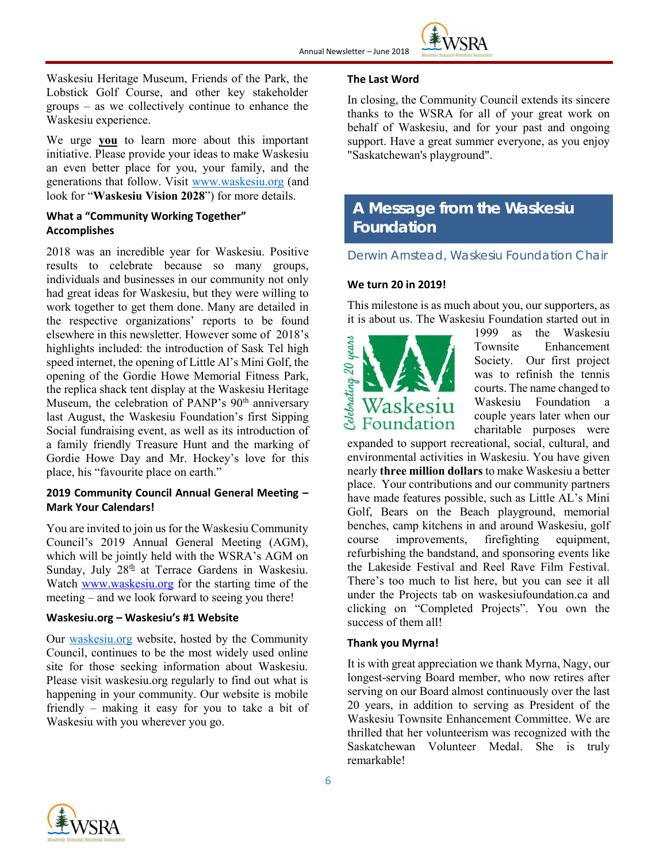

Waskesiu Heritage Museum, Friends of the Park, the Lobstick Golf Course, and other key stakeholder groups – as we collectively continue to enhance the Waskesiu experience.

We urge **you** to learn more about this important initiative. Please provide your ideas to make Waskesiu an even better place for you, your family, and the generations that follow. Visit [www.waskesiu.org](http://www.waskesiu.org/) (and look for "**Waskesiu Vision 2028**") for more details.

### **What a "Community Working Together" Accomplishes**

2018 was an incredible year for Waskesiu. Positive results to celebrate because so many groups, individuals and businesses in our community not only had great ideas for Waskesiu, but they were willing to work together to get them done. Many are detailed in the respective organizations' reports to be found elsewhere in this newsletter. However some of 2018's highlights included: the introduction of Sask Tel high speed internet, the opening of Little Al's Mini Golf, the opening of the Gordie Howe Memorial Fitness Park, the replica shack tent display at the Waskesiu Heritage Museum, the celebration of PANP's  $90<sup>th</sup>$  anniversary last August, the Waskesiu Foundation's first Sipping Social fundraising event, as well as its introduction of a family friendly Treasure Hunt and the marking of Gordie Howe Day and Mr. Hockey's love for this place, his "favourite place on earth."

### **2019 Community Council Annual General Meeting – Mark Your Calendars!**

You are invited to join us for the Waskesiu Community Council's 2019 Annual General Meeting (AGM), which will be jointly held with the WSRA's AGM on Sunday, July 28<sup>th</sup> at Terrace Gardens in Waskesiu. Watch [www.waskesiu.org](http://www.waskesiu.org/) for the starting time of the meeting – and we look forward to seeing you there!

#### **Waskesiu.org – Waskesiu's #1 Website**

Our [waskesiu.org](http://waskesiu.org/) website, hosted by the Community Council, continues to be the most widely used online site for those seeking information about Waskesiu. Please visit waskesiu.org regularly to find out what is happening in your community. Our website is mobile friendly – making it easy for you to take a bit of Waskesiu with you wherever you go.

### **The Last Word**

In closing, the Community Council extends its sincere thanks to the WSRA for all of your great work on behalf of Waskesiu, and for your past and ongoing support. Have a great summer everyone, as you enjoy "Saskatchewan's playground".

## **A Message from the Waskesiu Foundation**

*Derwin Arnstead, Waskesiu Foundation Chair*

### **We turn 20 in 2019!**

This milestone is as much about you, our supporters, as it is about us. The Waskesiu Foundation started out in



1999 as the Waskesiu Townsite Enhancement Society. Our first project was to refinish the tennis courts. The name changed to Waskesiu Foundation a couple years later when our charitable purposes were

expanded to support recreational, social, cultural, and environmental activities in Waskesiu. You have given nearly **three million dollars** to make Waskesiu a better place. Your contributions and our community partners have made features possible, such as Little AL's Mini Golf, Bears on the Beach playground, memorial benches, camp kitchens in and around Waskesiu, golf course improvements, firefighting equipment, refurbishing the bandstand, and sponsoring events like the Lakeside Festival and Reel Rave Film Festival. There's too much to list here, but you can see it all under the Projects tab on waskesiufoundation.ca and clicking on "Completed Projects". You own the success of them all!

#### **Thank you Myrna!**

It is with great appreciation we thank Myrna, Nagy, our longest-serving Board member, who now retires after serving on our Board almost continuously over the last 20 years, in addition to serving as President of the Waskesiu Townsite Enhancement Committee. We are thrilled that her volunteerism was recognized with the Saskatchewan Volunteer Medal. She is truly remarkable!

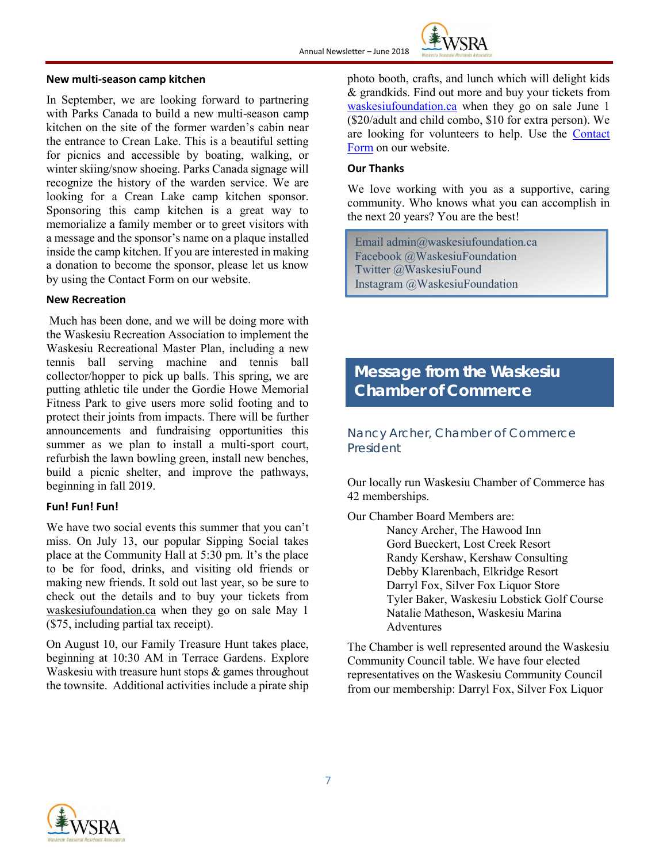

#### **New multi-season camp kitchen**

In September, we are looking forward to partnering with Parks Canada to build a new multi-season camp kitchen on the site of the former warden's cabin near the entrance to Crean Lake. This is a beautiful setting for picnics and accessible by boating, walking, or winter skiing/snow shoeing. Parks Canada signage will recognize the history of the warden service. We are looking for a Crean Lake camp kitchen sponsor. Sponsoring this camp kitchen is a great way to memorialize a family member or to greet visitors with a message and the sponsor's name on a plaque installed inside the camp kitchen. If you are interested in making a donation to become the sponsor, please let us know by using the Contact Form on our website.

#### **New Recreation**

Much has been done, and we will be doing more with the Waskesiu Recreation Association to implement the Waskesiu Recreational Master Plan, including a new tennis ball serving machine and tennis ball collector/hopper to pick up balls. This spring, we are putting athletic tile under the Gordie Howe Memorial Fitness Park to give users more solid footing and to protect their joints from impacts. There will be further announcements and fundraising opportunities this summer as we plan to install a multi-sport court, refurbish the lawn bowling green, install new benches, build a picnic shelter, and improve the pathways, beginning in fall 2019.

#### **Fun! Fun! Fun!**

We have two social events this summer that you can't miss. On July 13, our popular Sipping Social takes place at the Community Hall at 5:30 pm. It's the place to be for food, drinks, and visiting old friends or making new friends. It sold out last year, so be sure to check out the details and to buy your tickets from [waskesiufoundation.ca](https://www.waskesiufoundation.ca/sipping-social.html) when they go on sale May 1 (\$75, including partial tax receipt).

On August 10, our Family Treasure Hunt takes place, beginning at 10:30 AM in Terrace Gardens. Explore Waskesiu with treasure hunt stops  $\&$  games throughout the townsite. Additional activities include a pirate ship photo booth, crafts, and lunch which will delight kids & grandkids. Find out more and buy your tickets from [waskesiufoundation.ca](https://www.waskesiufoundation.ca/treasure-hunt.html) when they go on sale June 1 (\$20/adult and child combo, \$10 for extra person). We are looking for volunteers to help. Use the [Contact](https://www.waskesiufoundation.ca/contact.html)  [Form](https://www.waskesiufoundation.ca/contact.html) on our website.

#### **Our Thanks**

We love working with you as a supportive, caring community. Who knows what you can accomplish in the next 20 years? You are the best!

Email [admin@waskesiufoundation.ca](mailto:admin@waskesiufoundation.ca) Facebook @WaskesiuFoundation Twitter @WaskesiuFound Instagram @WaskesiuFoundation

## **Message from the Waskesiu Chamber of Commerce**

Nancy Archer, Chamber of Commerce President

Our locally run Waskesiu Chamber of Commerce has 42 memberships.

Our Chamber Board Members are:

Nancy Archer, The Hawood Inn Gord Bueckert, Lost Creek Resort Randy Kershaw, Kershaw Consulting Debby Klarenbach, Elkridge Resort Darryl Fox, Silver Fox Liquor Store Tyler Baker, Waskesiu Lobstick Golf Course Natalie Matheson, Waskesiu Marina **Adventures** 

The Chamber is well represented around the Waskesiu Community Council table. We have four elected representatives on the Waskesiu Community Council from our membership: Darryl Fox, Silver Fox Liquor

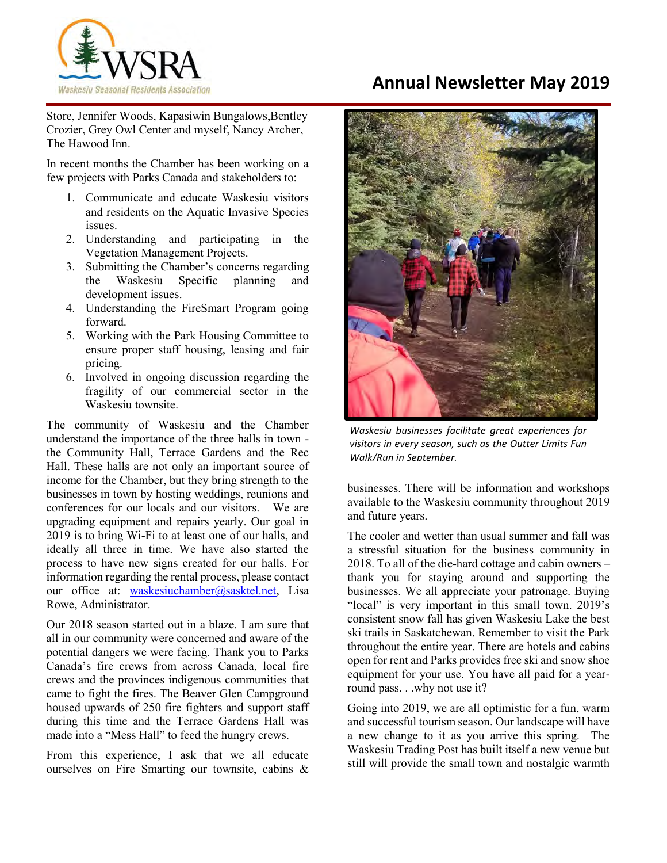

# **Annual Newsletter May 2019**

Store, Jennifer Woods, Kapasiwin Bungalows, Bentley Crozier, Grey Owl Center and myself, Nancy Archer, The Hawood Inn.

In recent months the Chamber has been working on a few projects with Parks Canada and stakeholders to:

- 1. Communicate and educate Waskesiu visitors and residents on the Aquatic Invasive Species issues.
- 2. Understanding and participating in the Vegetation Management Projects.
- 3. Submitting the Chamber's concerns regarding the Waskesiu Specific planning and development issues.
- 4. Understanding the FireSmart Program going forward.
- 5. Working with the Park Housing Committee to ensure proper staff housing, leasing and fair pricing.
- 6. Involved in ongoing discussion regarding the fragility of our commercial sector in the Waskesiu townsite.

The community of Waskesiu and the Chamber understand the importance of the three halls in town the Community Hall, Terrace Gardens and the Rec Hall. These halls are not only an important source of income for the Chamber, but they bring strength to the businesses in town by hosting weddings, reunions and conferences for our locals and our visitors. We are upgrading equipment and repairs yearly. Our goal in 2019 is to bring Wi-Fi to at least one of our halls, and ideally all three in time. We have also started the process to have new signs created for our halls. For information regarding the rental process, please contact our office at: [waskesiuchamber@sasktel.net,](mailto:waskesiuchamber@sasktel.net) Lisa Rowe, Administrator.

Our 2018 season started out in a blaze. I am sure that all in our community were concerned and aware of the potential dangers we were facing. Thank you to Parks Canada's fire crews from across Canada, local fire crews and the provinces indigenous communities that came to fight the fires. The Beaver Glen Campground housed upwards of 250 fire fighters and support staff during this time and the Terrace Gardens Hall was made into a "Mess Hall" to feed the hungry crews.

From this experience, I ask that we all educate ourselves on Fire Smarting our townsite, cabins &



*Waskesiu businesses facilitate great experiences for visitors in every season, such as the Outter Limits Fun Walk/Run in September.*

businesses. There will be information and workshops available to the Waskesiu community throughout 2019 and future years.

The cooler and wetter than usual summer and fall was a stressful situation for the business community in 2018. To all of the die-hard cottage and cabin owners – thank you for staying around and supporting the businesses. We all appreciate your patronage. Buying "local" is very important in this small town. 2019's consistent snow fall has given Waskesiu Lake the best ski trails in Saskatchewan. Remember to visit the Park throughout the entire year. There are hotels and cabins open for rent and Parks provides free ski and snow shoe equipment for your use. You have all paid for a yearround pass. . .why not use it?

Going into 2019, we are all optimistic for a fun, warm and successful tourism season. Our landscape will have a new change to it as you arrive this spring. The Waskesiu Trading Post has built itself a new venue but still will provide the small town and nostalgic warmth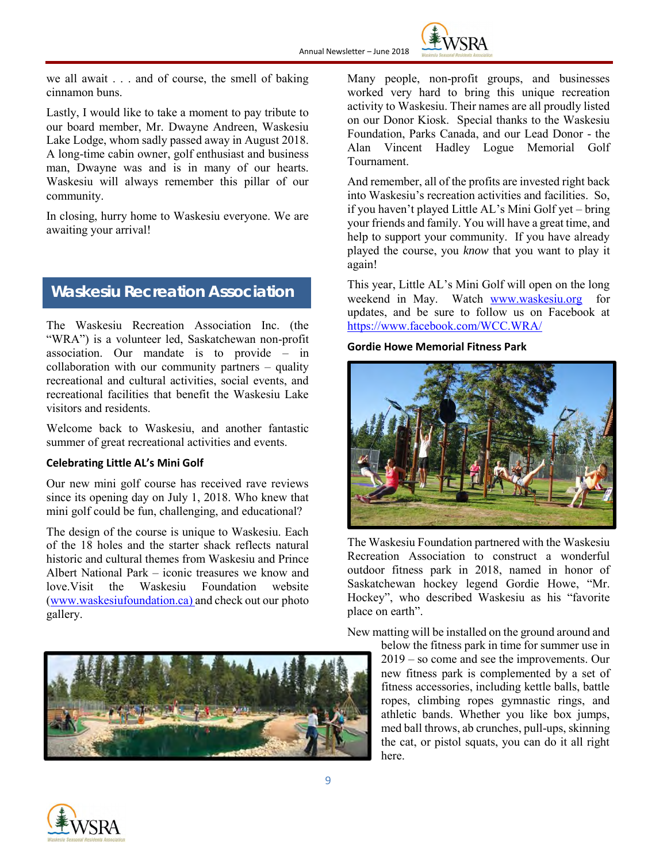

we all await . . . and of course, the smell of baking cinnamon buns.

Lastly, I would like to take a moment to pay tribute to our board member, Mr. Dwayne Andreen, Waskesiu Lake Lodge, whom sadly passed away in August 2018. A long-time cabin owner, golf enthusiast and business man, Dwayne was and is in many of our hearts. Waskesiu will always remember this pillar of our community.

In closing, hurry home to Waskesiu everyone. We are awaiting your arrival!

## **Waskesiu Recreation Association**

The Waskesiu Recreation Association Inc. (the "WRA") is a volunteer led, Saskatchewan non-profit association. Our mandate is to provide – in collaboration with our community partners – quality recreational and cultural activities, social events, and recreational facilities that benefit the Waskesiu Lake visitors and residents.

Welcome back to Waskesiu, and another fantastic summer of great recreational activities and events.

#### **Celebrating Little AL's Mini Golf**

Our new mini golf course has received rave reviews since its opening day on July 1, 2018. Who knew that mini golf could be fun, challenging, and educational?

The design of the course is unique to Waskesiu. Each of the 18 holes and the starter shack reflects natural historic and cultural themes from Waskesiu and Prince Albert National Park – iconic treasures we know and love.Visit the Waskesiu Foundation website [\(www.waskesiufoundation.ca\)](http://www.waskesiufoundation.ca/) and check out our photo gallery.



Many people, non-profit groups, and businesses worked very hard to bring this unique recreation activity to Waskesiu. Their names are all proudly listed on our Donor Kiosk. Special thanks to the Waskesiu Foundation, Parks Canada, and our Lead Donor - the Alan Vincent Hadley Logue Memorial Golf Tournament.

And remember, all of the profits are invested right back into Waskesiu's recreation activities and facilities. So, if you haven't played Little AL's Mini Golf yet – bring your friends and family. You will have a great time, and help to support your community. If you have already played the course, you *know* that you want to play it again!

This year, Little AL's Mini Golf will open on the long weekend in May. Watch [www.waskesiu.org](http://www.waskesiu.org/) for updates, and be sure to follow us on Facebook at <https://www.facebook.com/WCC.WRA/>

### **Gordie Howe Memorial Fitness Park**



The Waskesiu Foundation partnered with the Waskesiu Recreation Association to construct a wonderful outdoor fitness park in 2018, named in honor of Saskatchewan hockey legend Gordie Howe, "Mr. Hockey", who described Waskesiu as his "favorite place on earth".

New matting will be installed on the ground around and

below the fitness park in time for summer use in 2019 – so come and see the improvements. Our new fitness park is complemented by a set of fitness accessories, including kettle balls, battle ropes, climbing ropes gymnastic rings, and athletic bands. Whether you like box jumps, med ball throws, ab crunches, pull-ups, skinning the cat, or pistol squats, you can do it all right here.

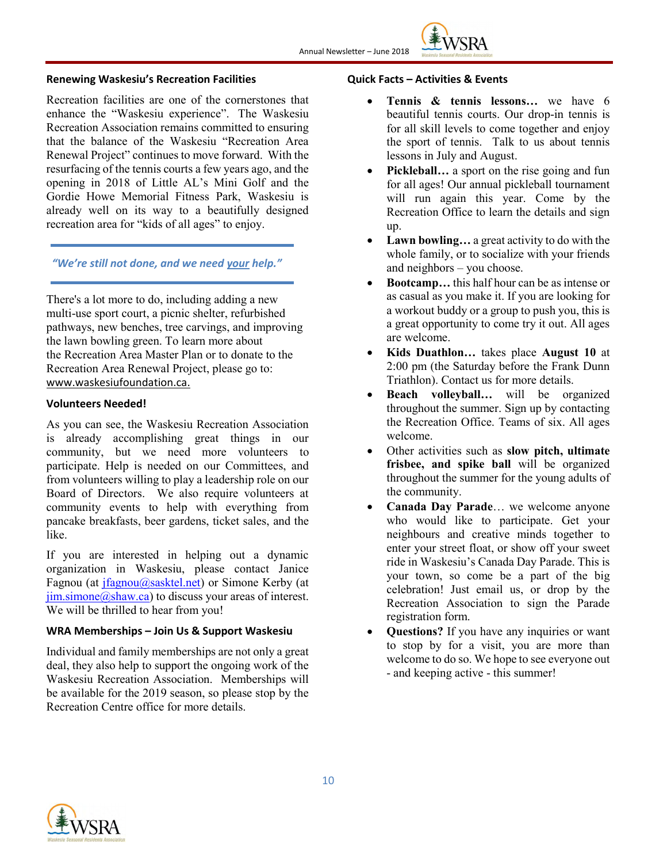

#### **Renewing Waskesiu's Recreation Facilities**

Recreation facilities are one of the cornerstones that enhance the "Waskesiu experience". The Waskesiu Recreation Association remains committed to ensuring that the balance of the Waskesiu "Recreation Area Renewal Project" continues to move forward. With the resurfacing of the tennis courts a few years ago, and the opening in 2018 of Little AL's Mini Golf and the Gordie Howe Memorial Fitness Park, Waskesiu is already well on its way to a beautifully designed recreation area for "kids of all ages" to enjoy.

#### *"We're still not done, and we need your help."*

There's a lot more to do, including adding a new multi-use sport court, a picnic shelter, refurbished pathways, new benches, tree carvings, and improving the lawn bowling green. To learn more about the Recreation Area Master Plan or to donate to the Recreation Area Renewal Project, please go to: www.waskesiufoundation.ca.

#### **Volunteers Needed!**

As you can see, the Waskesiu Recreation Association is already accomplishing great things in our community, but we need more volunteers to participate. Help is needed on our Committees, and from volunteers willing to play a leadership role on our Board of Directors. We also require volunteers at community events to help with everything from pancake breakfasts, beer gardens, ticket sales, and the like.

If you are interested in helping out a dynamic organization in Waskesiu, please contact Janice Fagnou (at [jfagnou@sasktel.net\)](mailto:jfagnou@sasktel.net) or Simone Kerby (at  $jim. simone@shaw.ca)$  to discuss your areas of interest. We will be thrilled to hear from you!

#### **WRA Memberships – Join Us & Support Waskesiu**

Individual and family memberships are not only a great deal, they also help to support the ongoing work of the Waskesiu Recreation Association. Memberships will be available for the 2019 season, so please stop by the Recreation Centre office for more details.

#### **Quick Facts – Activities & Events**

- **Tennis & tennis lessons…** we have 6 beautiful tennis courts. Our drop-in tennis is for all skill levels to come together and enjoy the sport of tennis. Talk to us about tennis lessons in July and August.
- **Pickleball...** a sport on the rise going and fun for all ages! Our annual pickleball tournament will run again this year. Come by the Recreation Office to learn the details and sign up.
- **Lawn bowling…** a great activity to do with the whole family, or to socialize with your friends and neighbors – you choose.
- **Bootcamp…** this half hour can be as intense or as casual as you make it. If you are looking for a workout buddy or a group to push you, this is a great opportunity to come try it out. All ages are welcome.
- **Kids Duathlon…** takes place **August 10** at 2:00 pm (the Saturday before the Frank Dunn Triathlon). Contact us for more details.
- **Beach volleyball…** will be organized throughout the summer. Sign up by contacting the Recreation Office. Teams of six. All ages welcome.
- Other activities such as **slow pitch, ultimate frisbee, and spike ball** will be organized throughout the summer for the young adults of the community.
- **Canada Day Parade**… we welcome anyone who would like to participate. Get your neighbours and creative minds together to enter your street float, or show off your sweet ride in Waskesiu's Canada Day Parade. This is your town, so come be a part of the big celebration! Just email us, or drop by the Recreation Association to sign the Parade registration form.
- **Questions?** If you have any inquiries or want to stop by for a visit, you are more than welcome to do so. We hope to see everyone out - and keeping active - this summer!

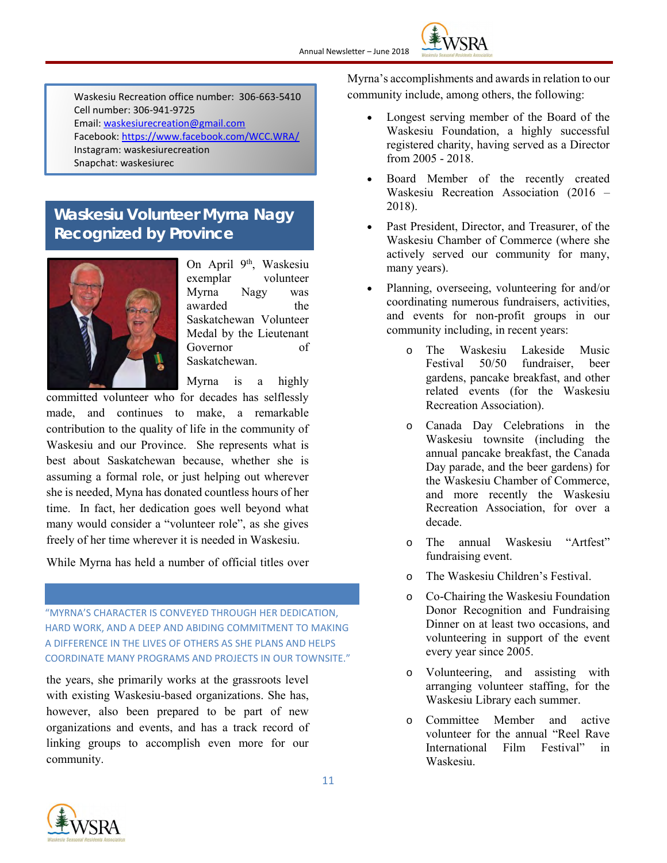

Waskesiu Recreation office number: 306-663-5410 Cell number: 306-941-9725 Email: [waskesiurecreation@gmail.com](mailto:waskesiurecreation@gmail.com) Facebook:<https://www.facebook.com/WCC.WRA/> Instagram: waskesiurecreation Snapchat: waskesiurec

## **Waskesiu Volunteer Myrna Nagy Recognized by Province**



On April 9<sup>th</sup>, Waskesiu exemplar volunteer Myrna Nagy was awarded the Saskatchewan Volunteer Medal by the Lieutenant Governor of Saskatchewan.

Myrna is a highly

committed volunteer who for decades has selflessly made, and continues to make, a remarkable contribution to the quality of life in the community of Waskesiu and our Province. She represents what is best about Saskatchewan because, whether she is assuming a formal role, or just helping out wherever she is needed, Myna has donated countless hours of her time. In fact, her dedication goes well beyond what many would consider a "volunteer role", as she gives freely of her time wherever it is needed in Waskesiu.

While Myrna has held a number of official titles over

"MYRNA'S CHARACTER IS CONVEYED THROUGH HER DEDICATION, HARD WORK, AND A DEEP AND ABIDING COMMITMENT TO MAKING A DIFFERENCE IN THE LIVES OF OTHERS AS SHE PLANS AND HELPS COORDINATE MANY PROGRAMS AND PROJECTS IN OUR TOWNSITE."

the years, she primarily works at the grassroots level with existing Waskesiu-based organizations. She has, however, also been prepared to be part of new organizations and events, and has a track record of linking groups to accomplish even more for our community.

Myrna's accomplishments and awards in relation to our community include, among others, the following:

- Longest serving member of the Board of the Waskesiu Foundation, a highly successful registered charity, having served as a Director from 2005 - 2018.
- Board Member of the recently created Waskesiu Recreation Association (2016 – 2018).
- Past President, Director, and Treasurer, of the Waskesiu Chamber of Commerce (where she actively served our community for many, many years).
- Planning, overseeing, volunteering for and/or coordinating numerous fundraisers, activities, and events for non-profit groups in our community including, in recent years:
	- o The Waskesiu Lakeside Music Festival 50/50 fundraiser, beer gardens, pancake breakfast, and other related events (for the Waskesiu Recreation Association).
	- o Canada Day Celebrations in the Waskesiu townsite (including the annual pancake breakfast, the Canada Day parade, and the beer gardens) for the Waskesiu Chamber of Commerce, and more recently the Waskesiu Recreation Association, for over a decade.
	- o The annual Waskesiu "Artfest" fundraising event.
	- o The Waskesiu Children's Festival.
	- o Co-Chairing the Waskesiu Foundation Donor Recognition and Fundraising Dinner on at least two occasions, and volunteering in support of the event every year since 2005.
	- o Volunteering, and assisting with arranging volunteer staffing, for the Waskesiu Library each summer.
	- o Committee Member and active volunteer for the annual "Reel Rave International Film Festival" in Waskesiu.

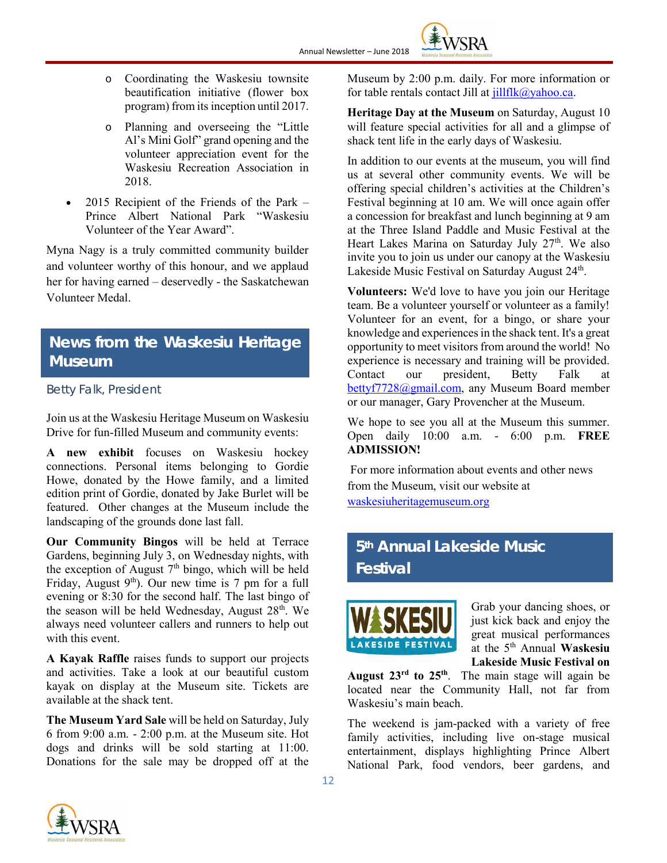**WSRA** 

- o Coordinating the Waskesiu townsite beautification initiative (flower box program) from its inception until 2017.
- o Planning and overseeing the "Little Al's Mini Golf" grand opening and the volunteer appreciation event for the Waskesiu Recreation Association in 2018.
- 2015 Recipient of the Friends of the Park Prince Albert National Park "Waskesiu Volunteer of the Year Award".

Myna Nagy is a truly committed community builder and volunteer worthy of this honour, and we applaud her for having earned – deservedly - the Saskatchewan Volunteer Medal.

## **News from the Waskesiu Heritage Museum**

## *Betty Falk, President*

Join us at the Waskesiu Heritage Museum on Waskesiu Drive for fun-filled Museum and community events:

**A new exhibit** focuses on Waskesiu hockey connections. Personal items belonging to Gordie Howe, donated by the Howe family, and a limited edition print of Gordie, donated by Jake Burlet will be featured. Other changes at the Museum include the landscaping of the grounds done last fall.

**Our Community Bingos** will be held at Terrace Gardens, beginning July 3, on Wednesday nights, with the exception of August  $7<sup>th</sup>$  bingo, which will be held Friday, August  $9<sup>th</sup>$ ). Our new time is 7 pm for a full evening or 8:30 for the second half. The last bingo of the season will be held Wednesday, August  $28<sup>th</sup>$ . We always need volunteer callers and runners to help out with this event.

**A Kayak Raffle** raises funds to support our projects and activities. Take a look at our beautiful custom kayak on display at the Museum site. Tickets are available at the shack tent.

**The Museum Yard Sale** will be held on Saturday, July 6 from 9:00 a.m. - 2:00 p.m. at the Museum site. Hot dogs and drinks will be sold starting at 11:00. Donations for the sale may be dropped off at the

Museum by 2:00 p.m. daily. For more information or for table rentals contact Jill at  $j$ illflk $@y$ ahoo.ca.

**Heritage Day at the Museum** on Saturday, August 10 will feature special activities for all and a glimpse of shack tent life in the early days of Waskesiu.

In addition to our events at the museum, you will find us at several other community events. We will be offering special children's activities at the Children's Festival beginning at 10 am. We will once again offer a concession for breakfast and lunch beginning at 9 am at the Three Island Paddle and Music Festival at the Heart Lakes Marina on Saturday July 27<sup>th</sup>. We also invite you to join us under our canopy at the Waskesiu Lakeside Music Festival on Saturday August 24<sup>th</sup>.

**Volunteers:** We'd love to have you join our Heritage team. Be a volunteer yourself or volunteer as a family! Volunteer for an event, for a bingo, or share your knowledge and experiences in the shack tent. It's a great opportunity to meet visitors from around the world! No experience is necessary and training will be provided. Contact our president, Betty Falk at [bettyf7728@gmail.com,](mailto:bettyf7728@gmail.com) any Museum Board member or our manager, Gary Provencher at the Museum.

We hope to see you all at the Museum this summer. Open daily 10:00 a.m. - 6:00 p.m. **FREE ADMISSION!**

For more information about events and other news from the Museum, visit our website at [waskesiuheritagemuseum.org](http://waskesiuheritagemuseum.org/)

# **5th Annual Lakeside Music Festival**



Grab your dancing shoes, or just kick back and enjoy the great musical performances at the 5th Annual **Waskesiu Lakeside Music Festival on** 

**August 23rd to 25th**. The main stage will again be located near the Community Hall, not far from Waskesiu's main beach.

The weekend is jam-packed with a variety of free family activities, including live on-stage musical entertainment, displays highlighting Prince Albert National Park, food vendors, beer gardens, and

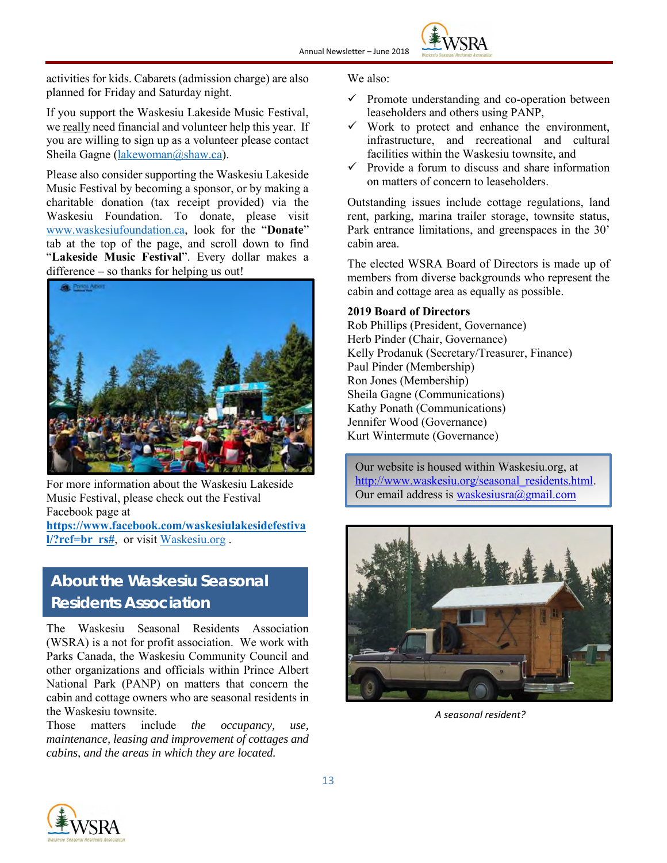

activities for kids. Cabarets (admission charge) are also planned for Friday and Saturday night.

If you support the Waskesiu Lakeside Music Festival, we really need financial and volunteer help this year. If you are willing to sign up as a volunteer please contact Sheila Gagne [\(lakewoman@shaw.ca\)](mailto:lakewoman@shaw.ca).

Please also consider supporting the Waskesiu Lakeside Music Festival by becoming a sponsor, or by making a charitable donation (tax receipt provided) via the Waskesiu Foundation. To donate, please visit [www.waskesiufoundation.ca,](http://www.waskesiufoundation.ca/) look for the "**Donate**" tab at the top of the page, and scroll down to find "**Lakeside Music Festival**". Every dollar makes a difference – so thanks for helping us out!



For more information about the Waskesiu Lakeside Music Festival, please check out the Festival Facebook page at **[https://www.facebook.com/waskesiulakesidefestiva](https://www.facebook.com/waskesiulakesidefestival/?ref=br_rs)**

**[l/?ref=br\\_rs#](https://www.facebook.com/waskesiulakesidefestival/?ref=br_rs)**, or visit [Waskesiu.org](http://www.waskesiu.org/) .

# **About the Waskesiu Seasonal Residents Association**

The Waskesiu Seasonal Residents Association (WSRA) is a not for profit association. We work with Parks Canada, the Waskesiu Community Council and other organizations and officials within Prince Albert National Park (PANP) on matters that concern the cabin and cottage owners who are seasonal residents in the Waskesiu townsite.

Those matters include *the occupancy, use, maintenance, leasing and improvement of cottages and cabins, and the areas in which they are located.*

#### We also:

- $\checkmark$  Promote understanding and co-operation between leaseholders and others using PANP,
- $\checkmark$  Work to protect and enhance the environment, infrastructure, and recreational and cultural facilities within the Waskesiu townsite, and
- $\checkmark$  Provide a forum to discuss and share information on matters of concern to leaseholders.

Outstanding issues include cottage regulations, land rent, parking, marina trailer storage, townsite status, Park entrance limitations, and greenspaces in the 30' cabin area.

The elected WSRA Board of Directors is made up of members from diverse backgrounds who represent the cabin and cottage area as equally as possible.

#### **2019 Board of Directors**

Rob Phillips (President, Governance) Herb Pinder (Chair, Governance) Kelly Prodanuk (Secretary/Treasurer, Finance) Paul Pinder (Membership) Ron Jones (Membership) Sheila Gagne (Communications) Kathy Ponath (Communications) Jennifer Wood (Governance) Kurt Wintermute (Governance)

Our website is housed within Waskesiu.org, at [http://www.waskesiu.org/seasonal\\_residents.html.](http://www.waskesiu.org/seasonal_residents.html) Our email address is [waskesiusra@gmail.com](mailto:waskesiusra@gmail.com)



*A seasonal resident?*